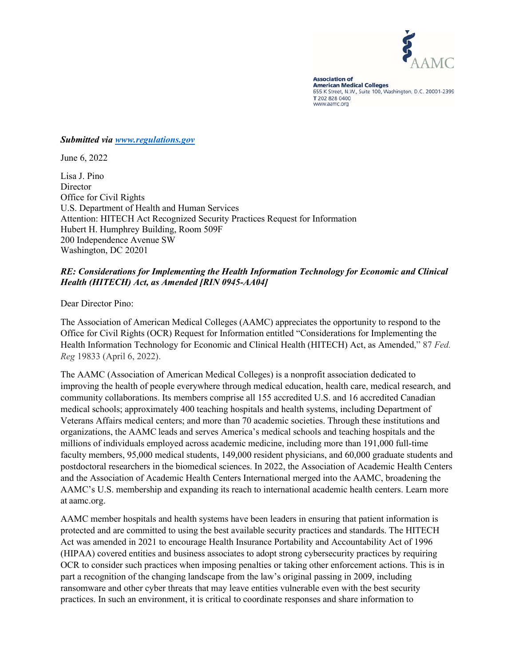

**Association of American Medical Colleges** 655 K Street, N.W., Suite 100, Washington, D.C. 20001-2399 T 202 828 0400 www.aamc.org

### *Submitted via [www.regulations.gov](http://www.regulations.gov/)*

June 6, 2022

Lisa J. Pino **Director** Office for Civil Rights U.S. Department of Health and Human Services Attention: HITECH Act Recognized Security Practices Request for Information Hubert H. Humphrey Building, Room 509F 200 Independence Avenue SW Washington, DC 20201

## *RE: Considerations for Implementing the Health Information Technology for Economic and Clinical Health (HITECH) Act, as Amended [RIN 0945-AA04]*

Dear Director Pino:

The Association of American Medical Colleges (AAMC) appreciates the opportunity to respond to the Office for Civil Rights (OCR) Request for Information entitled "Considerations for Implementing the Health Information Technology for Economic and Clinical Health (HITECH) Act, as Amended," 87 *Fed. Reg* 19833 (April 6, 2022).

The AAMC (Association of American Medical Colleges) is a nonprofit association dedicated to improving the health of people everywhere through medical education, health care, medical research, and community collaborations. Its members comprise all 155 accredited U.S. and 16 accredited Canadian medical schools; approximately 400 teaching hospitals and health systems, including Department of Veterans Affairs medical centers; and more than 70 academic societies. Through these institutions and organizations, the AAMC leads and serves America's medical schools and teaching hospitals and the millions of individuals employed across academic medicine, including more than 191,000 full-time faculty members, 95,000 medical students, 149,000 resident physicians, and 60,000 graduate students and postdoctoral researchers in the biomedical sciences. In 2022, the Association of Academic Health Centers and the Association of Academic Health Centers International merged into the AAMC, broadening the AAMC's U.S. membership and expanding its reach to international academic health centers. Learn more at aamc.org.

AAMC member hospitals and health systems have been leaders in ensuring that patient information is protected and are committed to using the best available security practices and standards. The HITECH Act was amended in 2021 to encourage Health Insurance Portability and Accountability Act of 1996 (HIPAA) covered entities and business associates to adopt strong cybersecurity practices by requiring OCR to consider such practices when imposing penalties or taking other enforcement actions. This is in part a recognition of the changing landscape from the law's original passing in 2009, including ransomware and other cyber threats that may leave entities vulnerable even with the best security practices. In such an environment, it is critical to coordinate responses and share information to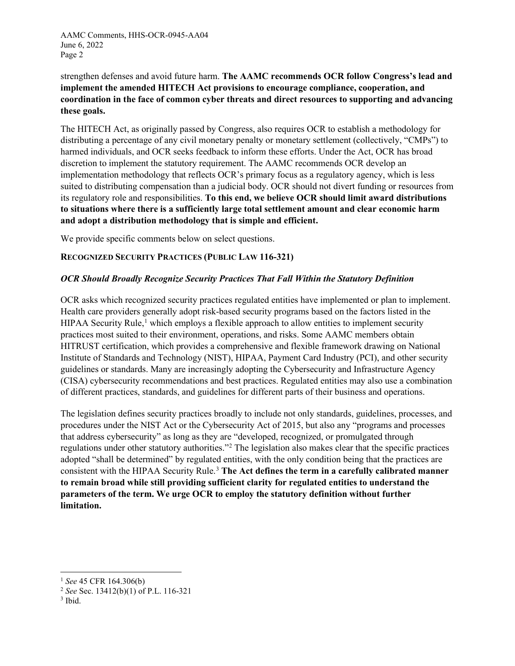AAMC Comments, HHS-OCR-0945-AA04 June 6, 2022 Page 2

strengthen defenses and avoid future harm. **The AAMC recommends OCR follow Congress's lead and implement the amended HITECH Act provisions to encourage compliance, cooperation, and coordination in the face of common cyber threats and direct resources to supporting and advancing these goals.**

The HITECH Act, as originally passed by Congress, also requires OCR to establish a methodology for distributing a percentage of any civil monetary penalty or monetary settlement (collectively, "CMPs") to harmed individuals, and OCR seeks feedback to inform these efforts. Under the Act, OCR has broad discretion to implement the statutory requirement. The AAMC recommends OCR develop an implementation methodology that reflects OCR's primary focus as a regulatory agency, which is less suited to distributing compensation than a judicial body. OCR should not divert funding or resources from its regulatory role and responsibilities. **To this end, we believe OCR should limit award distributions to situations where there is a sufficiently large total settlement amount and clear economic harm and adopt a distribution methodology that is simple and efficient.**

We provide specific comments below on select questions.

## **RECOGNIZED SECURITY PRACTICES (PUBLIC LAW 116-321)**

### *OCR Should Broadly Recognize Security Practices That Fall Within the Statutory Definition*

OCR asks which recognized security practices regulated entities have implemented or plan to implement. Health care providers generally adopt risk-based security programs based on the factors listed in the HIPAA Security Rule,<sup>[1](#page-1-0)</sup> which employs a flexible approach to allow entities to implement security practices most suited to their environment, operations, and risks. Some AAMC members obtain HITRUST certification, which provides a comprehensive and flexible framework drawing on National Institute of Standards and Technology (NIST), HIPAA, Payment Card Industry (PCI), and other security guidelines or standards. Many are increasingly adopting the Cybersecurity and Infrastructure Agency (CISA) cybersecurity recommendations and best practices. Regulated entities may also use a combination of different practices, standards, and guidelines for different parts of their business and operations.

The legislation defines security practices broadly to include not only standards, guidelines, processes, and procedures under the NIST Act or the Cybersecurity Act of 2015, but also any "programs and processes that address cybersecurity" as long as they are "developed, recognized, or promulgated through regulations under other statutory authorities."[2](#page-1-1) The legislation also makes clear that the specific practices adopted "shall be determined" by regulated entities, with the only condition being that the practices are consistent with the HIPAA Security Rule.[3](#page-1-2) **The Act defines the term in a carefully calibrated manner to remain broad while still providing sufficient clarity for regulated entities to understand the parameters of the term. We urge OCR to employ the statutory definition without further limitation.**

<span id="page-1-0"></span><sup>1</sup> *See* 45 CFR 164.306(b)

<span id="page-1-1"></span><sup>2</sup> *See* Sec. 13412(b)(1) of P.L. 116-321

<span id="page-1-2"></span> $3$  Ibid.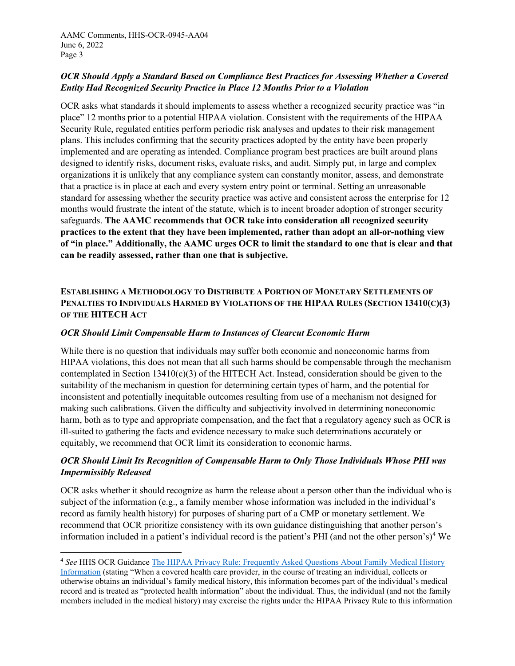# *OCR Should Apply a Standard Based on Compliance Best Practices for Assessing Whether a Covered Entity Had Recognized Security Practice in Place 12 Months Prior to a Violation*

OCR asks what standards it should implements to assess whether a recognized security practice was "in place" 12 months prior to a potential HIPAA violation. Consistent with the requirements of the HIPAA Security Rule, regulated entities perform periodic risk analyses and updates to their risk management plans. This includes confirming that the security practices adopted by the entity have been properly implemented and are operating as intended. Compliance program best practices are built around plans designed to identify risks, document risks, evaluate risks, and audit. Simply put, in large and complex organizations it is unlikely that any compliance system can constantly monitor, assess, and demonstrate that a practice is in place at each and every system entry point or terminal. Setting an unreasonable standard for assessing whether the security practice was active and consistent across the enterprise for 12 months would frustrate the intent of the statute, which is to incent broader adoption of stronger security safeguards. **The AAMC recommends that OCR take into consideration all recognized security practices to the extent that they have been implemented, rather than adopt an all-or-nothing view of "in place." Additionally, the AAMC urges OCR to limit the standard to one that is clear and that can be readily assessed, rather than one that is subjective.**

# **ESTABLISHING A METHODOLOGY TO DISTRIBUTE A PORTION OF MONETARY SETTLEMENTS OF PENALTIES TO INDIVIDUALS HARMED BY VIOLATIONS OF THE HIPAA RULES (SECTION 13410(C)(3) OF THE HITECH ACT**

### *OCR Should Limit Compensable Harm to Instances of Clearcut Economic Harm*

While there is no question that individuals may suffer both economic and noneconomic harms from HIPAA violations, this does not mean that all such harms should be compensable through the mechanism contemplated in Section  $13410(c)(3)$  of the HITECH Act. Instead, consideration should be given to the suitability of the mechanism in question for determining certain types of harm, and the potential for inconsistent and potentially inequitable outcomes resulting from use of a mechanism not designed for making such calibrations. Given the difficulty and subjectivity involved in determining noneconomic harm, both as to type and appropriate compensation, and the fact that a regulatory agency such as OCR is ill-suited to gathering the facts and evidence necessary to make such determinations accurately or equitably, we recommend that OCR limit its consideration to economic harms.

# *OCR Should Limit Its Recognition of Compensable Harm to Only Those Individuals Whose PHI was Impermissibly Released*

OCR asks whether it should recognize as harm the release about a person other than the individual who is subject of the information (e.g., a family member whose information was included in the individual's record as family health history) for purposes of sharing part of a CMP or monetary settlement. We recommend that OCR prioritize consistency with its own guidance distinguishing that another person's information included in a patient's individual record is the patient's PHI (and not the other person's)[4](#page-2-0) We

<span id="page-2-0"></span><sup>4</sup> *See* HHS OCR Guidance [The HIPAA Privacy Rule: Frequently Asked Questions About Family Medical History](https://www.hhs.gov/sites/default/files/familyhealthhistoryfaqs.pdf)  [Information](https://www.hhs.gov/sites/default/files/familyhealthhistoryfaqs.pdf) (stating "When a covered health care provider, in the course of treating an individual, collects or otherwise obtains an individual's family medical history, this information becomes part of the individual's medical record and is treated as "protected health information" about the individual. Thus, the individual (and not the family members included in the medical history) may exercise the rights under the HIPAA Privacy Rule to this information